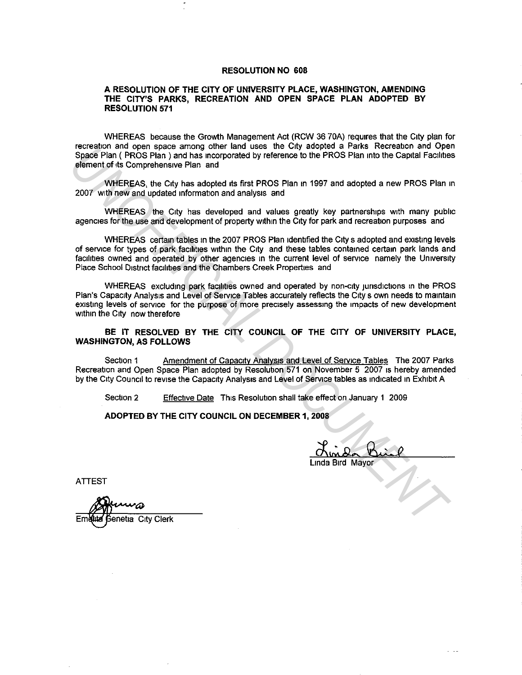#### **RESOLUTION NO 608**

#### **A RESOLUTION OF THE CITY OF UNIVERSITY PLACE, WASHINGTON, AMENDING THE CITY'S PARKS, RECREATION AND OPEN SPACE PLAN ADOPTED BY RESOLUTION 571**

WHEREAS because the Growth Management Act (RCW 36 70A) requires that the City plan for recreation and open space among other land uses the City adopted a Parks Recreation and Open Space Plan ( PROS Plan) and has incorporated by reference to the PROS Plan into the Capital Facilities element of its Comprehensive Plan and

WHEREAS, the City has adopted its first PROS Plan in 1997 and adopted a new PROS Plan in 2007 with new and updated information and analysis and

WHEREAS the City has developed and values greatly key partnerships with many public agencies for the use and development of property within the City for park and recreation purposes and

WHEREAS certain tables in the 2007 PROS Plan identified the City s adopted and existing levels of service for types of park facilities within the City and these tables contained certain park lands and facilities owned and operated by other agencies in the current level of service namely the University Place School District facilities and the Chambers Creek Properties and **UNDEREAS and operated by determinations are current and operated and operated and operated by effects and and operated by effects and and operated the Capital Facilities<br>
element of to Competitions Pier and and operated b** 

WHEREAS excluding park facilities owned and operated by non-city iunsdictions in the PROS Plan's Capacity Analysis and Level of Service Tables accurately reflects the City s own needs to maintain existing levels of service for the purpose of more precisely assessing the impacts of new development within the City now therefore

**BE IT RESOLVED BY THE CITY COUNCIL OF THE CITY OF UNIVERSITY PLACE, WASHINGTON, AS FOLLOWS** 

Section 1 Amendment of Capacity Analysis and Level of Service Tables The 2007 Parks Recreation and Open Space Plan adopted by Resolution 571 on November 5 2007 1s hereby amended by the City Council to revise the Capacity Analysis and Level of Service tables as indicated in Exhibit A

Section 2 Effective Date This Resolution shall take effect on January **1** 2009

### **ADOPTED BY THE CITY COUNCIL ON DECEMBER 1, 2008**

Linda Bird Mayor

ATTEST

**Genetia\_City Clerk**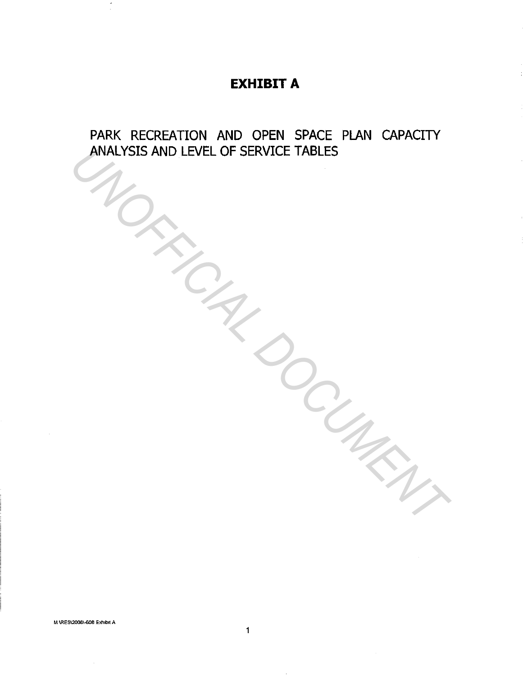# **EXHIBIT A**

PARK RECREATION AND OPEN SPACE PLAN CAPACITY ANALYSIS AND LEVEL OF SERVICE TABLES ANALYSIS AND LEVEL OF SERVICE TABLES<br>
UNITED SERVICE TABLES<br>
UNITED SERVICE TABLES<br>
UNITED SERVICE TABLES<br>
UNITED SERVICE TABLES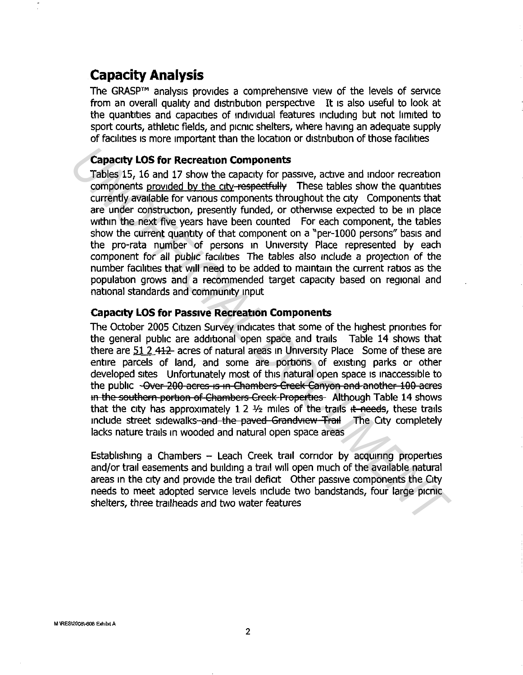# **Capacity Analysis**

The GRASP™ analysis provides a comprehensive view of the levels of service from an overall quality and distribution perspective It 1s also useful to look at the quantities and capacities of individual features including but not limited to sport courts, athletic fields, and picnic shelters, where having an adequate supply of facilities is more important than the location or distribution of those facilities

#### **Capacity LOS for Recreation Components**

Tables 15, 16 and 17 show the capacity for passive, active and indoor recreation components provided by the city-respectfully These tables show the quantities currently available for various components throughout the city Components that are under construction, presently funded, or otherwise expected to be m place within the next five years have been counted For each component, the tables show the current quantity of that component on a "per-1000 persons" basis and the pro-rata number of persons m University Place represented by each component for all public facilities. The tables also include a projection of the number facilities that will need to be added to maintain the current ratios as the population grows and a recommended target capacity based on regional and national standards and community input **Capacity LOS for Recreation Components**<br>Tables 15, 16 and 17 show the capacity for passive, active and indoor recreation<br>components provided by the city-respectfully. These tables show the quantities<br>currently available f

### **Capacity LOS for Passive Recreation Components**

The October 2005 Citizen Survey indicates that some of the highest priorities for the general public are additional open space and trails Table 14 shows that there are 51 2 412 acres of natural areas in University Place Some of these are entire parcels of land, and some are portions of existing parks or other developed sites Unfortunately most of this natural open space 1s inaccessible to the public -Over 200 acres is in Chambers Creek Canyon and another 100 acres In the southern portion of Chambers Creek Properties Although Table 14 shows that the city has approximately 1 2  $\frac{1}{2}$  miles of the trails it needs, these trails include street sidewalks-and the paved Grandview Trail The City completely lacks nature trails in wooded and natural open space areas

Establishing a Chambers - Leach Creek trail corridor by acquiring properties and/or trail easements and building a trail will open much of the available natural areas m the city and provide the trail deficit Other passive components the City needs to meet adopted service levels include two bandstands, four large picnic shelters, three trailheads and two water features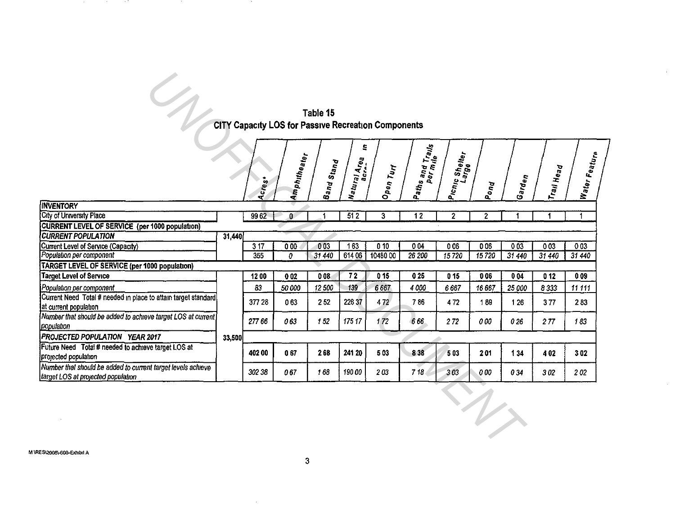| Table 15                                                   |  |
|------------------------------------------------------------|--|
| <b>CITY Capacity LOS for Passive Recreation Components</b> |  |

 $\hat{\mathcal{A}}$ 

 $\mathcal{A}^{\mathcal{A}}$ 

|                                                                                                    |        |        |                  | Table 15   |                                       |                  |                  |                                     |                        |           |            |                           |
|----------------------------------------------------------------------------------------------------|--------|--------|------------------|------------|---------------------------------------|------------------|------------------|-------------------------------------|------------------------|-----------|------------|---------------------------|
| CITY Capacity LOS for Passive Recreation Components                                                |        |        |                  |            |                                       |                  |                  |                                     |                        |           |            |                           |
|                                                                                                    |        |        |                  |            |                                       |                  |                  |                                     |                        |           |            |                           |
|                                                                                                    |        |        | Amphitheater     | Band Stand | S<br>Watu <sub>ral Area</sub><br>acra | Open Turf        | Paths and Trails | Picn <sub>ic Shelter</sub><br>Large |                        |           | Trail Head | Water Featu <sub>re</sub> |
|                                                                                                    |        | Acres  |                  |            |                                       |                  |                  |                                     | Pond                   | Garden    |            |                           |
| <b>INVENTORY</b>                                                                                   |        |        |                  |            |                                       |                  |                  |                                     |                        |           |            |                           |
| City of University Place                                                                           |        | 9962   | $\mathbf{0}$     |            | 512                                   | 3                | $\overline{12}$  | $\mathbf{2}$                        | 2                      | 1         | 1          |                           |
| <b>CURRENT LEVEL OF SERVICE (per 1000 population)</b>                                              |        |        |                  |            |                                       |                  |                  |                                     |                        |           |            |                           |
| <b>CURRENT POPULATION</b>                                                                          | 31,440 |        |                  |            |                                       |                  |                  |                                     |                        |           |            |                           |
| Current Level of Service (Capacity)                                                                |        | 317    | $\overline{000}$ | 003        | 163                                   | $\overline{010}$ | 004              | 006                                 | 006                    | 003       | 003        | 003                       |
| Population per component                                                                           |        | 355    | 0                | 31 440     | 614 06                                | 1048000          | 26 200           | 15720                               | 15720                  | $31\,440$ | 31 440     | 31440                     |
| TARGET LEVEL OF SERVICE (per 1000 population)                                                      |        |        |                  |            |                                       |                  |                  |                                     |                        |           |            |                           |
| <b>Target Level of Service</b>                                                                     |        | 1200   | 002              | 008        | 72                                    | 015              | 025              | 015                                 | 006                    | 004       | 012        | 009                       |
| Population per component                                                                           |        | 83     | 50 000           | 12500      | 139                                   | 6 6 6 7          | 4 000            | 6667                                | 16 667                 | 25 000    | 8333       | 11 11 1                   |
| Current Need Total # needed in place to attain target standard                                     |        | 377 28 | 063              | 252        | 226 37                                | 472              | 786              | 472                                 | 189                    | 126       | 377        | 283                       |
| at current population                                                                              |        |        |                  |            |                                       |                  |                  |                                     |                        |           |            |                           |
| Number that should be added to achieve target LOS at current)<br>population                        |        | 27766  | 063              | 152        | 175 17                                | 172              | 666              | 272                                 | 0 00                   | 026       | 277        | 183                       |
| <b>PROJECTED POPULATION YEAR 2017</b>                                                              | 33,500 |        |                  |            |                                       |                  |                  |                                     |                        |           |            |                           |
| Future Need Total # needed to achieve target LOS at                                                |        |        |                  |            |                                       |                  |                  |                                     |                        |           |            |                           |
| projected population                                                                               |        | 40200  | 067              | 268        | 241 20                                | 503              | 838              | 503                                 | 201                    | 134       | 402        | 302                       |
| Number that should be added to current target levels achieve<br>target LOS at projected population |        | 302 38 | 067              | 168        | 19000                                 | 203              | 718              | 303                                 | 0 00                   | 034       | 302        | 202                       |
|                                                                                                    |        |        |                  |            |                                       |                  |                  |                                     | $\boldsymbol{\Lambda}$ |           |            |                           |

 $\sim$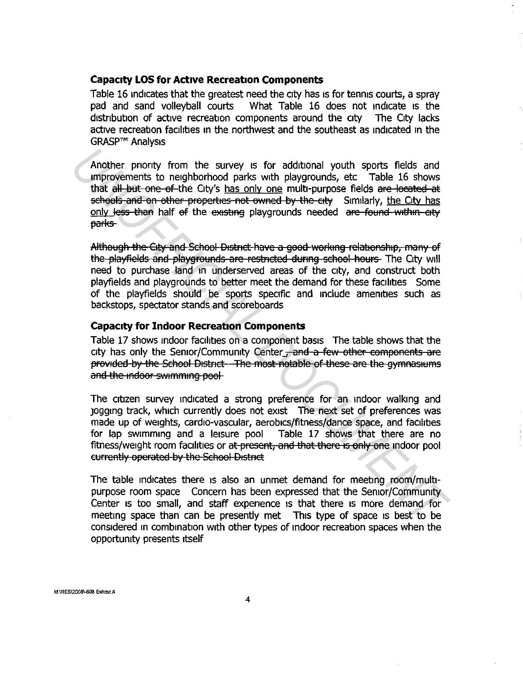#### **Capacity LOS for Active Recreation Components**

Table 16 indicates that the greatest need the city has is for tennis courts, a spray pad and sand volleyball courts What Table 16 does not indicate 1s the distribution of active recreation components around the city The City lacks active recreation facilities in the northwest and the southeast as indicated 1n the GRASP™ Analysis

Another priority from the survey is for additional youth sports fields and improvements to neighborhood parks with playgrounds, etc Table 16 shows that all but one of the City's has only one multi-purpose fields are located at schools and on other properties not owned by the eity Similarly, the City has only less than half ef the existing playgrounds needed are found within city barks-Another prontly from the survey is for additional youth spotts fields and<br>improvements to neghborhood parks with playgrounds, etc Table 16 shows<br>that all but one of the City's <u>has only one</u> multi-purpose fields are levele

Although the City and School District have a good working relationship, many of the playfields and playgrounds are restricted during school hours. The City will need to purchase land in underserved areas of the city, and construct both playfields and playgrounds to better meet the demand for these facilities Some of the playfields should be sports specific and include amenities such as backstops, spectator stands and scoreboards

#### **Capacity for Indoor Recreation Components**

Table 17 shows indoor facilities on a component basis The table shows that the city has only the Senior/Community Center, and a few other components are provided by the School District—The most notable of these are the gymnasiums and the indoor swimming pool

The citizen survey indicated a strong preference for an indoor walking and Jogging track, which currently does not exist The next set of preferences was made up of weights, cardio-vascular, aerobics/fitness/dance space, and facilities for lap swimming and a leisure pool Table 17 shows that there are no fitness/weight room facilities or at present, and that there is only one indoor pool eurrently operated by the School District

The table indicates there 1s also an unmet demand for meeting room/multipurpose room space Concern has been expressed that the Senior/Community Center 1s too small, and staff experience 1s that there 1s more demand for meeting space than can be presently met This type of space 1s best to be considered in combination with other types of indoor recreation spaces when the opportunity presents itself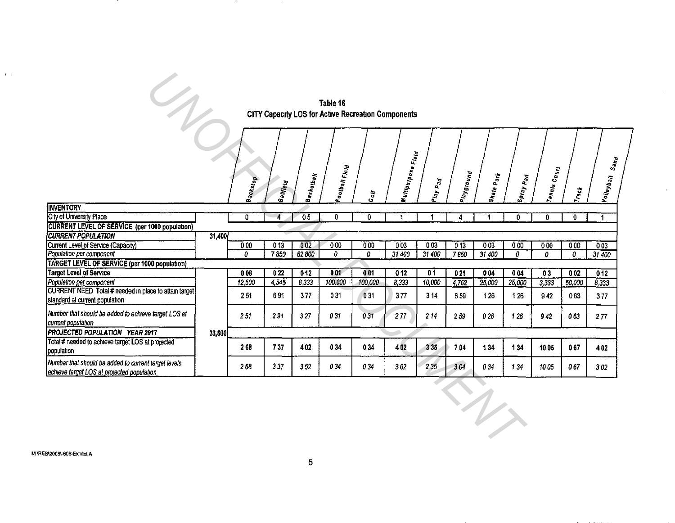#### Table 16 CITY Capacity LOS for Acuve Recreauon Components

 $\sim$ 

 $\mathcal{L}^{\pm}$ 

|                                                                                   |                                                                                                                                                                                                                                                                                                                                                                                                                                                                                                                                                                                                                                                                                                                                                                                                                                                                                                                                                                                                                                                                                                                                                                                            |   |                |    |   |   |    |   |   |   |   |          | $s_{a\eta}$          |
|-----------------------------------------------------------------------------------|--------------------------------------------------------------------------------------------------------------------------------------------------------------------------------------------------------------------------------------------------------------------------------------------------------------------------------------------------------------------------------------------------------------------------------------------------------------------------------------------------------------------------------------------------------------------------------------------------------------------------------------------------------------------------------------------------------------------------------------------------------------------------------------------------------------------------------------------------------------------------------------------------------------------------------------------------------------------------------------------------------------------------------------------------------------------------------------------------------------------------------------------------------------------------------------------|---|----------------|----|---|---|----|---|---|---|---|----------|----------------------|
| <b>INVENTORY</b>                                                                  |                                                                                                                                                                                                                                                                                                                                                                                                                                                                                                                                                                                                                                                                                                                                                                                                                                                                                                                                                                                                                                                                                                                                                                                            |   |                |    |   |   |    |   |   |   |   |          |                      |
| City of University Place                                                          |                                                                                                                                                                                                                                                                                                                                                                                                                                                                                                                                                                                                                                                                                                                                                                                                                                                                                                                                                                                                                                                                                                                                                                                            | 0 | $\overline{4}$ | 05 | 0 | 0 | -1 | 1 | 4 | 0 | 0 | $\bf{0}$ | $\blacktriangleleft$ |
| <b>CURRENT LEVEL OF SERVICE (per 1000 population)</b>                             |                                                                                                                                                                                                                                                                                                                                                                                                                                                                                                                                                                                                                                                                                                                                                                                                                                                                                                                                                                                                                                                                                                                                                                                            |   |                |    |   |   |    |   |   |   |   |          |                      |
| <b>CURRENT POPULATION</b>                                                         |                                                                                                                                                                                                                                                                                                                                                                                                                                                                                                                                                                                                                                                                                                                                                                                                                                                                                                                                                                                                                                                                                                                                                                                            |   |                |    |   |   |    |   |   |   |   |          |                      |
| Current Level of Service (Capacity)                                               |                                                                                                                                                                                                                                                                                                                                                                                                                                                                                                                                                                                                                                                                                                                                                                                                                                                                                                                                                                                                                                                                                                                                                                                            |   |                |    |   |   |    |   |   |   |   |          |                      |
| Population per component                                                          |                                                                                                                                                                                                                                                                                                                                                                                                                                                                                                                                                                                                                                                                                                                                                                                                                                                                                                                                                                                                                                                                                                                                                                                            |   |                |    |   |   |    |   |   |   |   |          |                      |
| <b>TARGET LEVEL OF SERVICE (per 1000 population)</b>                              |                                                                                                                                                                                                                                                                                                                                                                                                                                                                                                                                                                                                                                                                                                                                                                                                                                                                                                                                                                                                                                                                                                                                                                                            |   |                |    |   |   |    |   |   |   |   |          |                      |
| <b>Target Level of Service</b>                                                    |                                                                                                                                                                                                                                                                                                                                                                                                                                                                                                                                                                                                                                                                                                                                                                                                                                                                                                                                                                                                                                                                                                                                                                                            |   |                |    |   |   |    |   |   |   |   |          |                      |
| Population per component<br>CURRENT NEED Total # needed in place to attain target | $\mathcal{A}$<br>Table 16<br>CITY Capacity LOS for Active Recreation Components<br><b>Multipurpose Fieid</b><br>Football Fleid<br>Tennis Court<br>Piayground<br>Skate p <sub>ark</sub><br>Basketball<br>Spray p <sub>ad</sub><br> Volleyball<br><b>Backstop</b><br>Play Pad<br><b>Ballfield</b><br><b>Track</b><br>Golf<br>31,400<br>003<br>$\overline{000}$<br>013<br>002<br>000<br>$\overline{003}$<br>013<br>000<br>000<br>003<br>000<br>000<br>003<br>7850<br>62800<br>0<br>31 400<br>31 400<br>7850<br>0<br>0<br>31 400<br>0<br>0<br>0<br>$31\,400$<br>022<br>012<br>001<br>001<br>012<br>01<br>021<br>004<br>008<br>004<br>03<br>002<br>012<br>100,000<br>12,500<br>4,545<br>8,333<br>100,000<br>8,333<br>10,000<br>4,762<br>25,000<br>3.333<br>25,000<br>50,000<br>8,333<br>691<br>031<br>251<br>377<br>031<br>377<br>314<br>659<br>126<br>942<br>063<br>126<br>377<br>031<br>277<br>251<br>291<br>327<br>214<br>031<br>026<br>063<br>259<br>126<br>942<br>277<br>33,500<br>737<br>268<br>402<br>034<br>034<br>402<br>335<br>704<br>134<br>134<br>067<br>1005<br>402<br>235<br>337<br>034<br>304<br>263<br>352<br>034<br>302<br>034<br>067<br>134<br>1005<br>302<br>$\ddot{\gamma}$ |   |                |    |   |   |    |   |   |   |   |          |                      |
| standard at current population                                                    |                                                                                                                                                                                                                                                                                                                                                                                                                                                                                                                                                                                                                                                                                                                                                                                                                                                                                                                                                                                                                                                                                                                                                                                            |   |                |    |   |   |    |   |   |   |   |          |                      |
|                                                                                   |                                                                                                                                                                                                                                                                                                                                                                                                                                                                                                                                                                                                                                                                                                                                                                                                                                                                                                                                                                                                                                                                                                                                                                                            |   |                |    |   |   |    |   |   |   |   |          |                      |
| Number that should be added to achieve target LOS at                              |                                                                                                                                                                                                                                                                                                                                                                                                                                                                                                                                                                                                                                                                                                                                                                                                                                                                                                                                                                                                                                                                                                                                                                                            |   |                |    |   |   |    |   |   |   |   |          |                      |
| current population                                                                |                                                                                                                                                                                                                                                                                                                                                                                                                                                                                                                                                                                                                                                                                                                                                                                                                                                                                                                                                                                                                                                                                                                                                                                            |   |                |    |   |   |    |   |   |   |   |          |                      |
| PROJECTED POPULATION YEAR 2017                                                    |                                                                                                                                                                                                                                                                                                                                                                                                                                                                                                                                                                                                                                                                                                                                                                                                                                                                                                                                                                                                                                                                                                                                                                                            |   |                |    |   |   |    |   |   |   |   |          |                      |
| Total # needed to achieve target LOS at projected                                 |                                                                                                                                                                                                                                                                                                                                                                                                                                                                                                                                                                                                                                                                                                                                                                                                                                                                                                                                                                                                                                                                                                                                                                                            |   |                |    |   |   |    |   |   |   |   |          |                      |
| population                                                                        |                                                                                                                                                                                                                                                                                                                                                                                                                                                                                                                                                                                                                                                                                                                                                                                                                                                                                                                                                                                                                                                                                                                                                                                            |   |                |    |   |   |    |   |   |   |   |          |                      |
| Number that should be added to current target levels                              |                                                                                                                                                                                                                                                                                                                                                                                                                                                                                                                                                                                                                                                                                                                                                                                                                                                                                                                                                                                                                                                                                                                                                                                            |   |                |    |   |   |    |   |   |   |   |          |                      |
| achieve target LOS at projected population                                        |                                                                                                                                                                                                                                                                                                                                                                                                                                                                                                                                                                                                                                                                                                                                                                                                                                                                                                                                                                                                                                                                                                                                                                                            |   |                |    |   |   |    |   |   |   |   |          |                      |
|                                                                                   |                                                                                                                                                                                                                                                                                                                                                                                                                                                                                                                                                                                                                                                                                                                                                                                                                                                                                                                                                                                                                                                                                                                                                                                            |   |                |    |   |   |    |   |   |   |   |          |                      |

 $\Lambda$  .  $\Gamma$